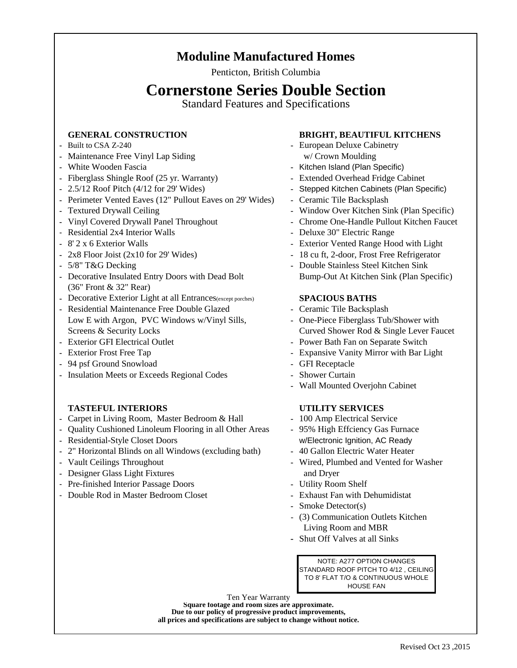## **Moduline Manufactured Homes**

Penticton, British Columbia

# **Cornerstone Series Double Section**

Standard Features and Specifications

- 
- **-** Maintenance Free Vinyl Lap Siding w/ Crown Moulding
- 
- **-** Fiberglass Shingle Roof (25 yr. Warranty) **-** Extended Overhead Fridge Cabinet
- 
- **-** Perimeter Vented Eaves (12" Pullout Eaves on 29' Wides) **-** Ceramic Tile Backsplash
- 
- 
- Residential 2x4 Interior Walls **-** Deluxe 30" Electric Range
- 
- 
- 
- **-** Decorative Insulated Entry Doors with Dead Bolt Bump-Out At Kitchen Sink (Plan Specific) (36" Front & 32" Rear)
- **-** Decorative Exterior Light at all Entrances(except porches) **SPACIOUS BATHS**
- **-** Residential Maintenance Free Double Glazed **-** Ceramic Tile Backsplash Low E with Argon, PVC Windows w/Vinyl Sills, **-** One-Piece Fiberglass Tub/Shower with Screens & Security Locks Curved Shower Rod & Single Lever Faucet
- 
- 
- **-** 94 psf Ground Snowload **-** GFI Receptacle
- **-** Insulation Meets or Exceeds Regional Codes **-** Shower Curtain

### **TASTEFUL INTERIORS UTILITY SERVICES**

- **-** Carpet in Living Room, Master Bedroom & Hall **-** 100 Amp Electrical Service
- **-** Quality Cushioned Linoleum Flooring in all Other Areas **-** 95% High Effciency Gas Furnace
- 
- **-** 2" Horizontal Blinds on all Windows (excluding bath) **-** 40 Gallon Electric Water Heater
- 
- **-** Designer Glass Light Fixtures and Dryer
- Pre-finished Interior Passage Doors **-** Utility Room Shelf
- Double Rod in Master Bedroom Closet **-** Exhaust Fan with Dehumidistat

## **GENERAL CONSTRUCTION BRIGHT, BEAUTIFUL KITCHENS**

- **-** Built to CSA Z-240 **-** European Deluxe Cabinetry
- **-** White Wooden Fascia **-** Kitchen Island (Plan Specific)
	-
- **-** 2.5/12 Roof Pitch (4/12 for 29' Wides) **-** Stepped Kitchen Cabinets (Plan Specific)
	-
- **-** Textured Drywall Ceiling **-** Window Over Kitchen Sink (Plan Specific)
- **-** Vinyl Covered Drywall Panel Throughout **-** Chrome One-Handle Pullout Kitchen Faucet
	-
- **-** 8' 2 x 6 Exterior Walls **-** Exterior Vented Range Hood with Light
- **-** 2x8 Floor Joist (2x10 for 29' Wides) **-** 18 cu ft, 2-door, Frost Free Refrigerator
- **-** 5/8" T&G Decking **-** Double Stainless Steel Kitchen Sink

- 
- 
- **-** Exterior GFI Electrical Outlet **-** Power Bath Fan on Separate Switch
- **-** Exterior Frost Free Tap **-** Expansive Vanity Mirror with Bar Light
	-
	-
	- **-** Wall Mounted Overjohn Cabinet

- 
- **-** Residential-Style Closet Doors w/Electronic Ignition, AC Ready
	-
- **-** Vault Ceilings Throughout **-** Wired, Plumbed and Vented for Washer
	-
	-
	- **-** Smoke Detector(s)
	- (3) Communication Outlets Kitchen Living Room and MBR
	- **-** Shut Off Valves at all Sinks

NOTE: A277 OPTION CHANGES STANDARD ROOF PITCH TO 4/12 , CEILING TO 8' FLAT T/O & CONTINUOUS WHOLE HOUSE FAN

Ten Year Warranty **all prices and specifications are subject to change without notice. Due to our policy of progressive product improvements, Square footage and room sizes are approximate.**